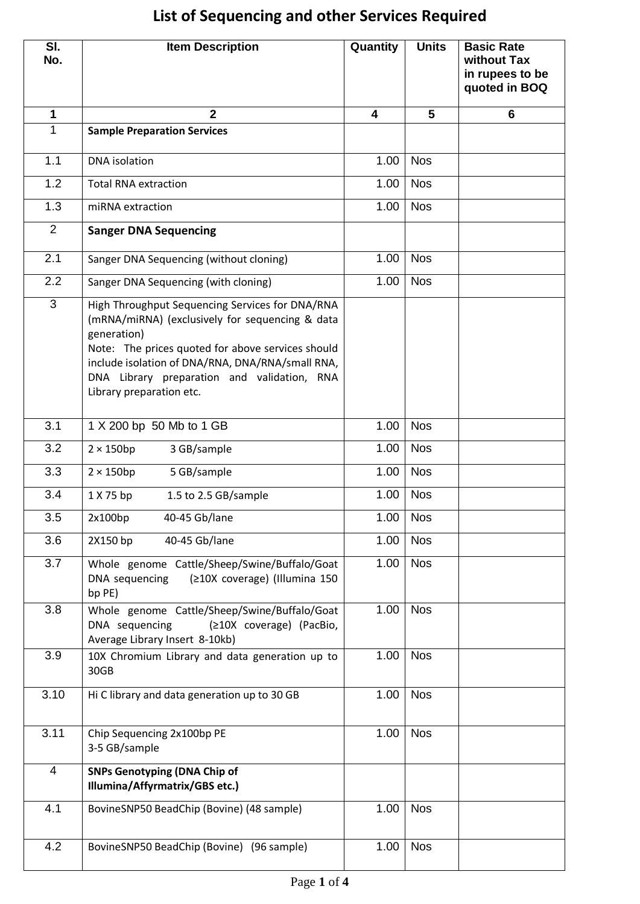## **List of Sequencing and other Services Required**

| SI.<br>No.     | <b>Item Description</b>                                                                                                                                                                                                                                                                               | Quantity | <b>Units</b> | <b>Basic Rate</b><br>without Tax<br>in rupees to be<br>quoted in BOQ |
|----------------|-------------------------------------------------------------------------------------------------------------------------------------------------------------------------------------------------------------------------------------------------------------------------------------------------------|----------|--------------|----------------------------------------------------------------------|
| $\mathbf{1}$   | $\overline{2}$                                                                                                                                                                                                                                                                                        | 4        | 5            | 6                                                                    |
| 1              | <b>Sample Preparation Services</b>                                                                                                                                                                                                                                                                    |          |              |                                                                      |
| 1.1            | <b>DNA</b> isolation                                                                                                                                                                                                                                                                                  | 1.00     | <b>Nos</b>   |                                                                      |
| 1.2            | <b>Total RNA extraction</b>                                                                                                                                                                                                                                                                           | 1.00     | <b>Nos</b>   |                                                                      |
| 1.3            | miRNA extraction                                                                                                                                                                                                                                                                                      | 1.00     | <b>Nos</b>   |                                                                      |
| 2              | <b>Sanger DNA Sequencing</b>                                                                                                                                                                                                                                                                          |          |              |                                                                      |
| 2.1            | Sanger DNA Sequencing (without cloning)                                                                                                                                                                                                                                                               | 1.00     | <b>Nos</b>   |                                                                      |
| 2.2            | Sanger DNA Sequencing (with cloning)                                                                                                                                                                                                                                                                  | 1.00     | <b>Nos</b>   |                                                                      |
| 3              | High Throughput Sequencing Services for DNA/RNA<br>(mRNA/miRNA) (exclusively for sequencing & data<br>generation)<br>Note: The prices quoted for above services should<br>include isolation of DNA/RNA, DNA/RNA/small RNA,<br>DNA Library preparation and validation, RNA<br>Library preparation etc. |          |              |                                                                      |
| 3.1            | 1 X 200 bp 50 Mb to 1 GB                                                                                                                                                                                                                                                                              | 1.00     | <b>Nos</b>   |                                                                      |
| 3.2            | $2 \times 150$ bp<br>3 GB/sample                                                                                                                                                                                                                                                                      | 1.00     | <b>Nos</b>   |                                                                      |
| 3.3            | $2 \times 150$ bp<br>5 GB/sample                                                                                                                                                                                                                                                                      | 1.00     | <b>Nos</b>   |                                                                      |
| 3.4            | 1 X 75 bp<br>1.5 to 2.5 GB/sample                                                                                                                                                                                                                                                                     | 1.00     | <b>Nos</b>   |                                                                      |
| 3.5            | 40-45 Gb/lane<br>2x100bp                                                                                                                                                                                                                                                                              | 1.00     | <b>Nos</b>   |                                                                      |
| 3.6            | 40-45 Gb/lane<br>2X150 bp                                                                                                                                                                                                                                                                             | 1.00     | <b>Nos</b>   |                                                                      |
| 3.7            | Whole genome Cattle/Sheep/Swine/Buffalo/Goat<br>DNA sequencing<br>(≥10X coverage) (Illumina 150<br>bp PE)                                                                                                                                                                                             | 1.00     | <b>Nos</b>   |                                                                      |
| 3.8            | Whole genome Cattle/Sheep/Swine/Buffalo/Goat<br>DNA sequencing<br>(≥10X coverage) (PacBio,<br>Average Library Insert 8-10kb)                                                                                                                                                                          | 1.00     | <b>Nos</b>   |                                                                      |
| 3.9            | 10X Chromium Library and data generation up to<br>30GB                                                                                                                                                                                                                                                | 1.00     | <b>Nos</b>   |                                                                      |
| 3.10           | Hi C library and data generation up to 30 GB                                                                                                                                                                                                                                                          | 1.00     | <b>Nos</b>   |                                                                      |
| 3.11           | Chip Sequencing 2x100bp PE<br>3-5 GB/sample                                                                                                                                                                                                                                                           | 1.00     | <b>Nos</b>   |                                                                      |
| $\overline{4}$ | <b>SNPs Genotyping (DNA Chip of</b><br>Illumina/Affyrmatrix/GBS etc.)                                                                                                                                                                                                                                 |          |              |                                                                      |
| 4.1            | BovineSNP50 BeadChip (Bovine) (48 sample)                                                                                                                                                                                                                                                             | 1.00     | <b>Nos</b>   |                                                                      |
| 4.2            | BovineSNP50 BeadChip (Bovine) (96 sample)                                                                                                                                                                                                                                                             | 1.00     | <b>Nos</b>   |                                                                      |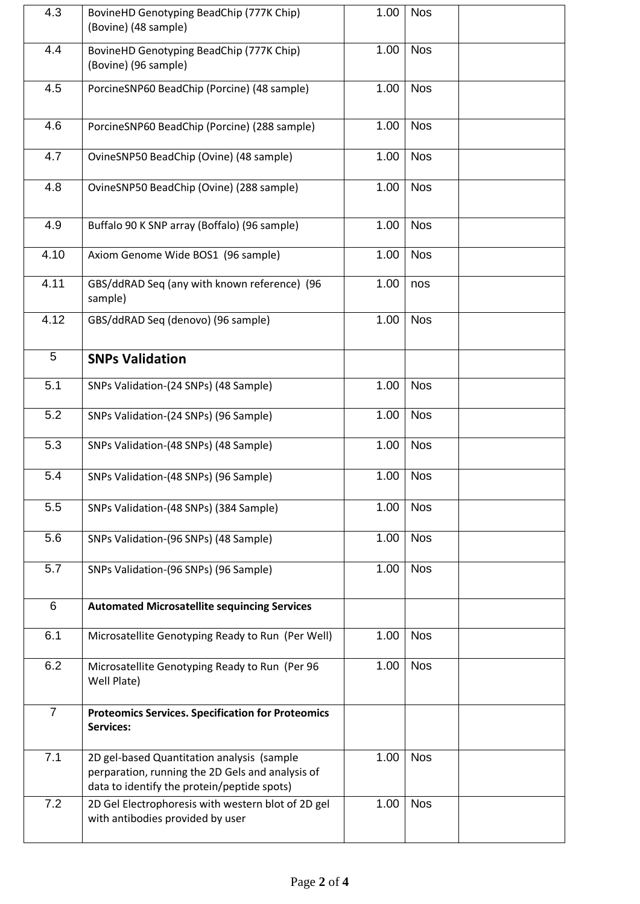| 4.3            | BovineHD Genotyping BeadChip (777K Chip)<br>(Bovine) (48 sample)                                                                              | 1.00 | <b>Nos</b> |
|----------------|-----------------------------------------------------------------------------------------------------------------------------------------------|------|------------|
| 4.4            | BovineHD Genotyping BeadChip (777K Chip)<br>(Bovine) (96 sample)                                                                              | 1.00 | <b>Nos</b> |
| 4.5            | PorcineSNP60 BeadChip (Porcine) (48 sample)                                                                                                   | 1.00 | <b>Nos</b> |
| 4.6            | PorcineSNP60 BeadChip (Porcine) (288 sample)                                                                                                  | 1.00 | <b>Nos</b> |
| 4.7            | OvineSNP50 BeadChip (Ovine) (48 sample)                                                                                                       | 1.00 | <b>Nos</b> |
| 4.8            | OvineSNP50 BeadChip (Ovine) (288 sample)                                                                                                      | 1.00 | <b>Nos</b> |
| 4.9            | Buffalo 90 K SNP array (Boffalo) (96 sample)                                                                                                  | 1.00 | <b>Nos</b> |
| 4.10           | Axiom Genome Wide BOS1 (96 sample)                                                                                                            | 1.00 | <b>Nos</b> |
| 4.11           | GBS/ddRAD Seq (any with known reference) (96<br>sample)                                                                                       | 1.00 | nos        |
| 4.12           | GBS/ddRAD Seq (denovo) (96 sample)                                                                                                            | 1.00 | <b>Nos</b> |
| 5              | <b>SNPs Validation</b>                                                                                                                        |      |            |
| 5.1            | SNPs Validation-(24 SNPs) (48 Sample)                                                                                                         | 1.00 | <b>Nos</b> |
| 5.2            | SNPs Validation-(24 SNPs) (96 Sample)                                                                                                         | 1.00 | <b>Nos</b> |
| 5.3            | SNPs Validation-(48 SNPs) (48 Sample)                                                                                                         | 1.00 | <b>Nos</b> |
| 5.4            | SNPs Validation-(48 SNPs) (96 Sample)                                                                                                         | 1.00 | <b>Nos</b> |
| 5.5            | SNPs Validation-(48 SNPs) (384 Sample)                                                                                                        | 1.00 | <b>Nos</b> |
| 5.6            | SNPs Validation-(96 SNPs) (48 Sample)                                                                                                         | 1.00 | <b>Nos</b> |
| 5.7            | SNPs Validation-(96 SNPs) (96 Sample)                                                                                                         | 1.00 | <b>Nos</b> |
| 6              | <b>Automated Microsatellite sequincing Services</b>                                                                                           |      |            |
| 6.1            | Microsatellite Genotyping Ready to Run (Per Well)                                                                                             | 1.00 | <b>Nos</b> |
| 6.2            | Microsatellite Genotyping Ready to Run (Per 96<br>Well Plate)                                                                                 | 1.00 | <b>Nos</b> |
| $\overline{7}$ | <b>Proteomics Services. Specification for Proteomics</b><br><b>Services:</b>                                                                  |      |            |
| 7.1            | 2D gel-based Quantitation analysis (sample<br>perparation, running the 2D Gels and analysis of<br>data to identify the protein/peptide spots) | 1.00 | <b>Nos</b> |
| 7.2            | 2D Gel Electrophoresis with western blot of 2D gel<br>with antibodies provided by user                                                        | 1.00 | <b>Nos</b> |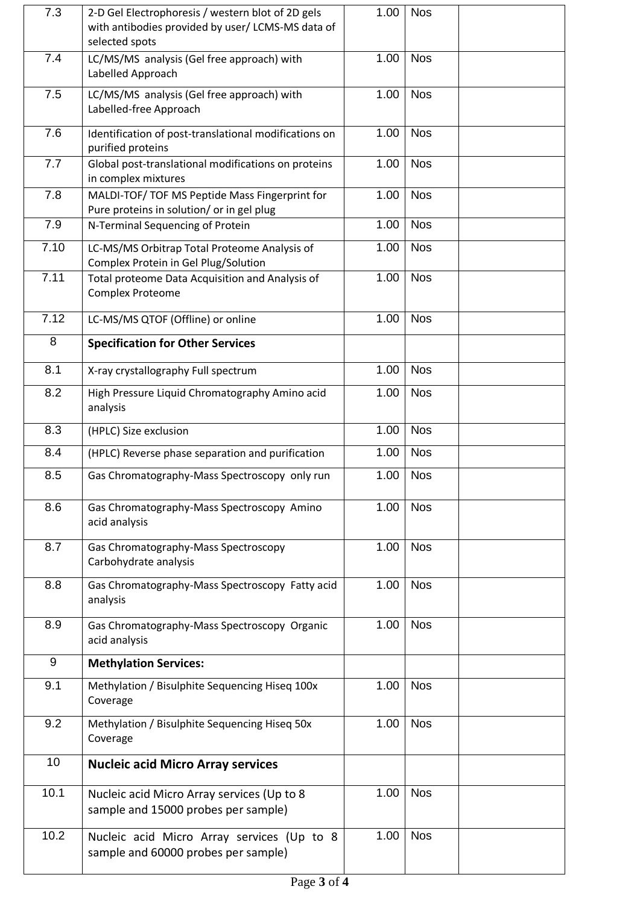| 7.3  | 2-D Gel Electrophoresis / western blot of 2D gels<br>with antibodies provided by user/ LCMS-MS data of<br>selected spots | 1.00 | <b>Nos</b> |  |
|------|--------------------------------------------------------------------------------------------------------------------------|------|------------|--|
| 7.4  | LC/MS/MS analysis (Gel free approach) with<br>Labelled Approach                                                          | 1.00 | <b>Nos</b> |  |
| 7.5  | LC/MS/MS analysis (Gel free approach) with<br>Labelled-free Approach                                                     | 1.00 | <b>Nos</b> |  |
| 7.6  | Identification of post-translational modifications on<br>purified proteins                                               | 1.00 | <b>Nos</b> |  |
| 7.7  | Global post-translational modifications on proteins<br>in complex mixtures                                               | 1.00 | <b>Nos</b> |  |
| 7.8  | MALDI-TOF/ TOF MS Peptide Mass Fingerprint for<br>Pure proteins in solution/ or in gel plug                              | 1.00 | <b>Nos</b> |  |
| 7.9  | N-Terminal Sequencing of Protein                                                                                         | 1.00 | <b>Nos</b> |  |
| 7.10 | LC-MS/MS Orbitrap Total Proteome Analysis of<br>Complex Protein in Gel Plug/Solution                                     | 1.00 | <b>Nos</b> |  |
| 7.11 | Total proteome Data Acquisition and Analysis of<br><b>Complex Proteome</b>                                               | 1.00 | <b>Nos</b> |  |
| 7.12 | LC-MS/MS QTOF (Offline) or online                                                                                        | 1.00 | <b>Nos</b> |  |
| 8    | <b>Specification for Other Services</b>                                                                                  |      |            |  |
| 8.1  | X-ray crystallography Full spectrum                                                                                      | 1.00 | <b>Nos</b> |  |
| 8.2  | High Pressure Liquid Chromatography Amino acid<br>analysis                                                               | 1.00 | <b>Nos</b> |  |
| 8.3  | (HPLC) Size exclusion                                                                                                    | 1.00 | <b>Nos</b> |  |
| 8.4  | (HPLC) Reverse phase separation and purification                                                                         | 1.00 | <b>Nos</b> |  |
| 8.5  | Gas Chromatography-Mass Spectroscopy only run                                                                            | 1.00 | <b>Nos</b> |  |
| 8.6  | Gas Chromatography-Mass Spectroscopy Amino<br>acid analysis                                                              | 1.00 | <b>Nos</b> |  |
| 8.7  | Gas Chromatography-Mass Spectroscopy<br>Carbohydrate analysis                                                            | 1.00 | <b>Nos</b> |  |
| 8.8  | Gas Chromatography-Mass Spectroscopy Fatty acid<br>analysis                                                              | 1.00 | <b>Nos</b> |  |
| 8.9  | Gas Chromatography-Mass Spectroscopy Organic<br>acid analysis                                                            | 1.00 | <b>Nos</b> |  |
| 9    | <b>Methylation Services:</b>                                                                                             |      |            |  |
| 9.1  | Methylation / Bisulphite Sequencing Hiseq 100x<br>Coverage                                                               | 1.00 | <b>Nos</b> |  |
| 9.2  | Methylation / Bisulphite Sequencing Hiseq 50x<br>Coverage                                                                | 1.00 | <b>Nos</b> |  |
| 10   | <b>Nucleic acid Micro Array services</b>                                                                                 |      |            |  |
| 10.1 | Nucleic acid Micro Array services (Up to 8<br>sample and 15000 probes per sample)                                        | 1.00 | <b>Nos</b> |  |
| 10.2 | Nucleic acid Micro Array services (Up to 8<br>sample and 60000 probes per sample)                                        | 1.00 | <b>Nos</b> |  |
|      |                                                                                                                          |      |            |  |